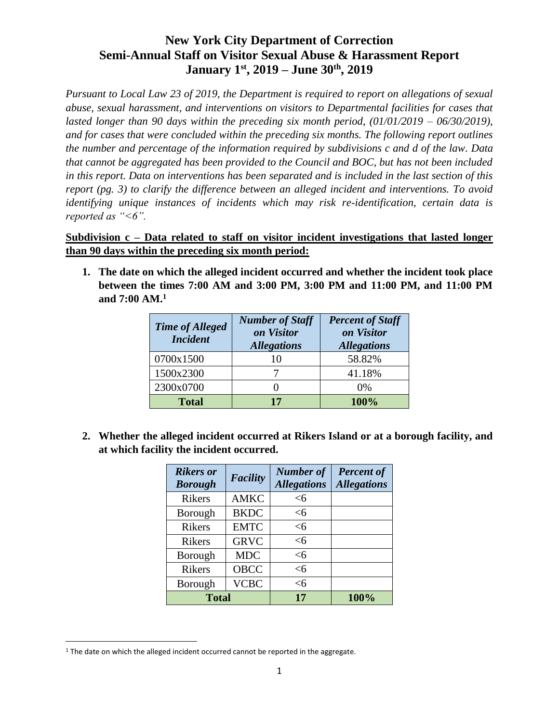*Pursuant to Local Law 23 of 2019, the Department is required to report on allegations of sexual abuse, sexual harassment, and interventions on visitors to Departmental facilities for cases that lasted longer than 90 days within the preceding six month period, (01/01/2019 – 06/30/2019), and for cases that were concluded within the preceding six months. The following report outlines the number and percentage of the information required by subdivisions c and d of the law. Data that cannot be aggregated has been provided to the Council and BOC, but has not been included in this report. Data on interventions has been separated and is included in the last section of this report (pg. 3) to clarify the difference between an alleged incident and interventions. To avoid identifying unique instances of incidents which may risk re-identification, certain data is reported as "<6".*

### **Subdivision c – Data related to staff on visitor incident investigations that lasted longer than 90 days within the preceding six month period:**

**1. The date on which the alleged incident occurred and whether the incident took place between the times 7:00 AM and 3:00 PM, 3:00 PM and 11:00 PM, and 11:00 PM and 7:00 AM.<sup>1</sup>**

| <b>Time of Alleged</b><br><b>Incident</b> | <b>Number of Staff</b><br>on Visitor<br><b>Allegations</b> | <b>Percent of Staff</b><br>on Visitor<br><b>Allegations</b> |
|-------------------------------------------|------------------------------------------------------------|-------------------------------------------------------------|
| 0700x1500                                 | 10                                                         | 58.82%                                                      |
| 1500x2300                                 |                                                            | 41.18%                                                      |
| 2300x0700                                 |                                                            | 0%                                                          |
| <b>Total</b>                              | 17                                                         | 100%                                                        |

**2. Whether the alleged incident occurred at Rikers Island or at a borough facility, and at which facility the incident occurred.**

| <b>Rikers</b> or<br><b>Borough</b> | <b>Facility</b> | <b>Number of</b><br><b>Allegations</b> | <b>Percent of</b><br><b>Allegations</b> |
|------------------------------------|-----------------|----------------------------------------|-----------------------------------------|
| <b>Rikers</b>                      | <b>AMKC</b>     | <б                                     |                                         |
| Borough                            | <b>BKDC</b>     | $<$ 6                                  |                                         |
| <b>Rikers</b>                      | <b>EMTC</b>     | $<$ 6                                  |                                         |
| <b>Rikers</b>                      | <b>GRVC</b>     | <6                                     |                                         |
| Borough                            | <b>MDC</b>      | <6                                     |                                         |
| <b>Rikers</b>                      | <b>OBCC</b>     | $<$ 6                                  |                                         |
| Borough                            | <b>VCBC</b>     | <6                                     |                                         |
| <b>Total</b>                       |                 | 17                                     | 100%                                    |

 $\overline{a}$ 

<sup>&</sup>lt;sup>1</sup> The date on which the alleged incident occurred cannot be reported in the aggregate.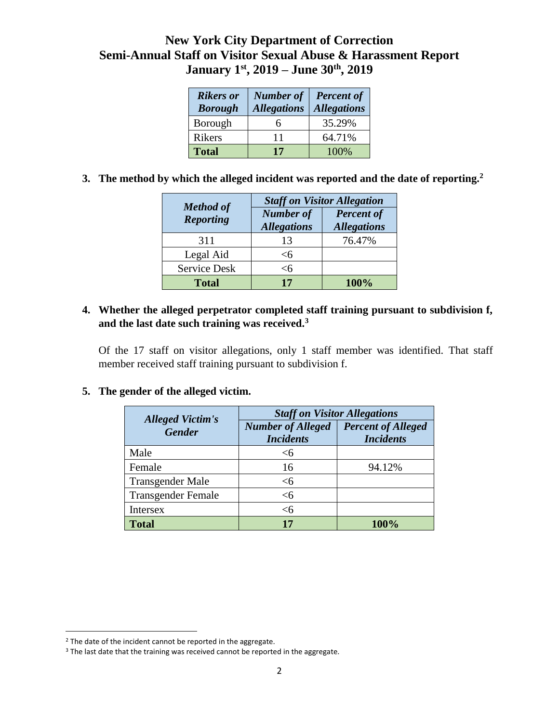| <b>Rikers</b> or<br><b>Borough</b> | <b>Number of</b><br><b>Allegations</b> | <b>Percent of</b><br><b>Allegations</b> |
|------------------------------------|----------------------------------------|-----------------------------------------|
| Borough                            |                                        | 35.29%                                  |
| <b>Rikers</b>                      | 11                                     | 64.71%                                  |
| <b>Total</b>                       | 17                                     | 100%                                    |

**3. The method by which the alleged incident was reported and the date of reporting.<sup>2</sup>**

| <b>Method of</b>    | <b>Staff on Visitor Allegation</b>     |                                         |  |
|---------------------|----------------------------------------|-----------------------------------------|--|
| <b>Reporting</b>    | <b>Number of</b><br><b>Allegations</b> | <b>Percent of</b><br><b>Allegations</b> |  |
| 311                 | 13                                     | 76.47%                                  |  |
| Legal Aid           | <б                                     |                                         |  |
| <b>Service Desk</b> | <б                                     |                                         |  |
| <b>Total</b>        | 17                                     | 100%                                    |  |

### **4. Whether the alleged perpetrator completed staff training pursuant to subdivision f, and the last date such training was received.<sup>3</sup>**

Of the 17 staff on visitor allegations, only 1 staff member was identified. That staff member received staff training pursuant to subdivision f.

### **5. The gender of the alleged victim.**

| <b>Alleged Victim's</b>   | <b>Staff on Visitor Allegations</b>          |                                               |  |
|---------------------------|----------------------------------------------|-----------------------------------------------|--|
| <b>Gender</b>             | <b>Number of Alleged</b><br><b>Incidents</b> | <b>Percent of Alleged</b><br><b>Incidents</b> |  |
| Male                      | <6                                           |                                               |  |
| Female                    | 16                                           | 94.12%                                        |  |
| <b>Transgender Male</b>   | <6                                           |                                               |  |
| <b>Transgender Female</b> | <б                                           |                                               |  |
| Intersex                  | <б                                           |                                               |  |
| Total                     |                                              | <b>100%</b>                                   |  |

 $\overline{\phantom{a}}$ 

<sup>&</sup>lt;sup>2</sup> The date of the incident cannot be reported in the aggregate.

<sup>&</sup>lt;sup>3</sup> The last date that the training was received cannot be reported in the aggregate.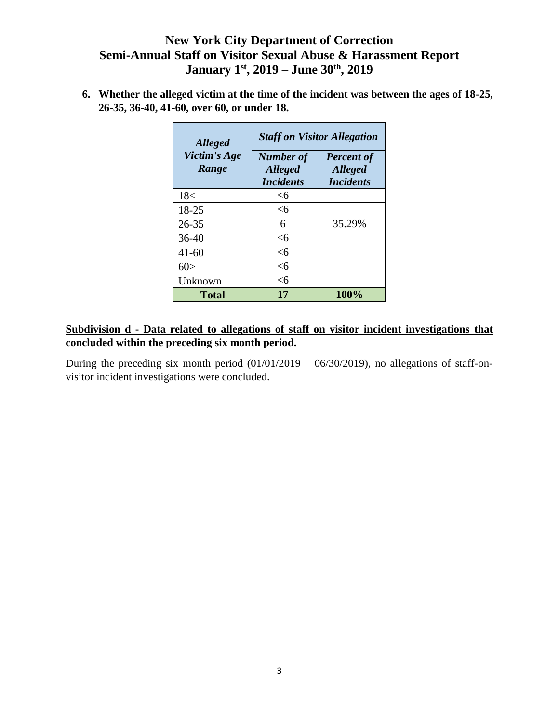**6. Whether the alleged victim at the time of the incident was between the ages of 18-25, 26-35, 36-40, 41-60, over 60, or under 18.**

| <b>Alleged</b>        | <b>Staff on Visitor Allegation</b>                     |                                                         |  |
|-----------------------|--------------------------------------------------------|---------------------------------------------------------|--|
| Victim's Age<br>Range | <b>Number</b> of<br><b>Alleged</b><br><b>Incidents</b> | <b>Percent of</b><br><b>Alleged</b><br><b>Incidents</b> |  |
| 18<                   | <б                                                     |                                                         |  |
| 18-25                 | $<$ 6                                                  |                                                         |  |
| $26 - 35$             | 6                                                      | 35.29%                                                  |  |
| 36-40                 | <б                                                     |                                                         |  |
| $41 - 60$             | <6                                                     |                                                         |  |
| 60>                   | <6                                                     |                                                         |  |
| Unknown               | <б                                                     |                                                         |  |
| <b>Total</b>          | 17                                                     | 100%                                                    |  |

### **Subdivision d - Data related to allegations of staff on visitor incident investigations that concluded within the preceding six month period.**

During the preceding six month period  $(01/01/2019 - 06/30/2019)$ , no allegations of staff-onvisitor incident investigations were concluded.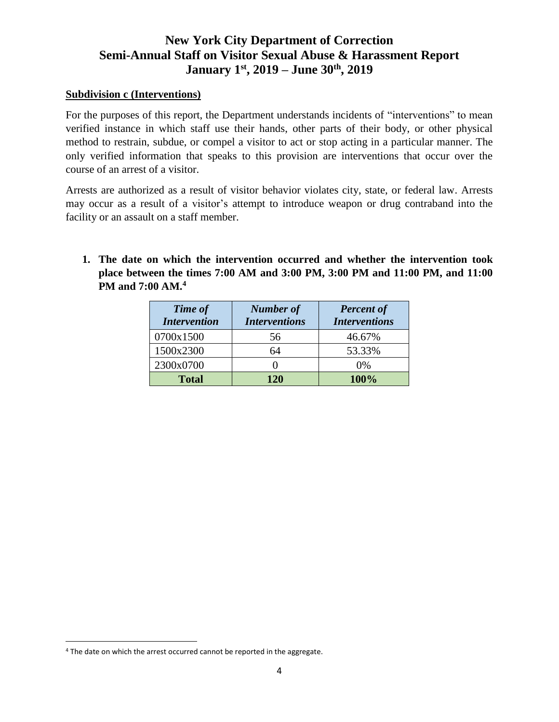#### **Subdivision c (Interventions)**

For the purposes of this report, the Department understands incidents of "interventions" to mean verified instance in which staff use their hands, other parts of their body, or other physical method to restrain, subdue, or compel a visitor to act or stop acting in a particular manner. The only verified information that speaks to this provision are interventions that occur over the course of an arrest of a visitor.

Arrests are authorized as a result of visitor behavior violates city, state, or federal law. Arrests may occur as a result of a visitor's attempt to introduce weapon or drug contraband into the facility or an assault on a staff member.

**1. The date on which the intervention occurred and whether the intervention took place between the times 7:00 AM and 3:00 PM, 3:00 PM and 11:00 PM, and 11:00 PM and 7:00 AM.<sup>4</sup>**

| <b>Time of</b><br><b>Intervention</b> | <b>Number of</b><br><b>Interventions</b> | <b>Percent of</b><br><b>Interventions</b> |
|---------------------------------------|------------------------------------------|-------------------------------------------|
| 0700x1500                             | 56                                       | 46.67%                                    |
| 1500x2300                             | 64                                       | 53.33%                                    |
| 2300x0700                             |                                          | 0%                                        |
| <b>Total</b>                          | 120                                      | 100%                                      |

 $\overline{a}$ 

<sup>4</sup> The date on which the arrest occurred cannot be reported in the aggregate.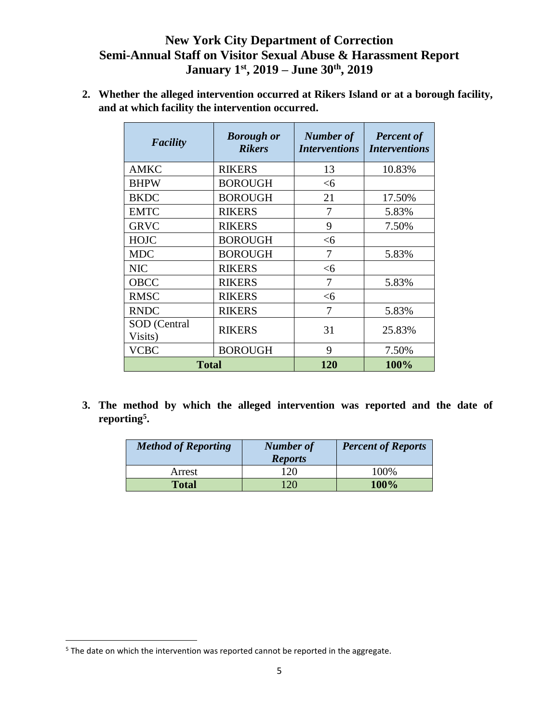**2. Whether the alleged intervention occurred at Rikers Island or at a borough facility, and at which facility the intervention occurred.**

| <b>Facility</b> | <b>Borough or</b><br><b>Rikers</b> | Number of<br><b>Interventions</b> | <b>Percent of</b><br><b>Interventions</b> |
|-----------------|------------------------------------|-----------------------------------|-------------------------------------------|
| <b>AMKC</b>     | <b>RIKERS</b>                      | 13                                | 10.83%                                    |
| <b>BHPW</b>     | <b>BOROUGH</b>                     | $<$ 6                             |                                           |
| <b>BKDC</b>     | <b>BOROUGH</b>                     | 21                                | 17.50%                                    |
| <b>EMTC</b>     | <b>RIKERS</b>                      | 7                                 | 5.83%                                     |
| <b>GRVC</b>     | <b>RIKERS</b>                      | 9                                 | 7.50%                                     |
| <b>HOJC</b>     | <b>BOROUGH</b>                     | $<$ 6                             |                                           |
| <b>MDC</b>      | <b>BOROUGH</b>                     | 7                                 | 5.83%                                     |
| <b>NIC</b>      | <b>RIKERS</b>                      | $<$ 6                             |                                           |
| <b>OBCC</b>     | <b>RIKERS</b>                      | 7                                 | 5.83%                                     |
| <b>RMSC</b>     | <b>RIKERS</b>                      | $<$ 6                             |                                           |
| <b>RNDC</b>     | <b>RIKERS</b>                      | 7                                 | 5.83%                                     |
| SOD (Central    | <b>RIKERS</b>                      | 31                                | 25.83%                                    |
| Visits)         |                                    |                                   |                                           |
| <b>VCBC</b>     | <b>BOROUGH</b>                     | 9                                 | 7.50%                                     |
| <b>Total</b>    |                                    | 120                               | 100%                                      |

**3. The method by which the alleged intervention was reported and the date of reporting<sup>5</sup> .**

| <b>Method of Reporting</b> | <b>Number of</b><br><b>Reports</b> | <b>Percent of Reports</b> |
|----------------------------|------------------------------------|---------------------------|
| Arrest                     | 120                                | 100%                      |
| <b>Total</b>               | <u>20</u>                          | 100%                      |

 $\overline{\phantom{a}}$ 

<sup>&</sup>lt;sup>5</sup> The date on which the intervention was reported cannot be reported in the aggregate.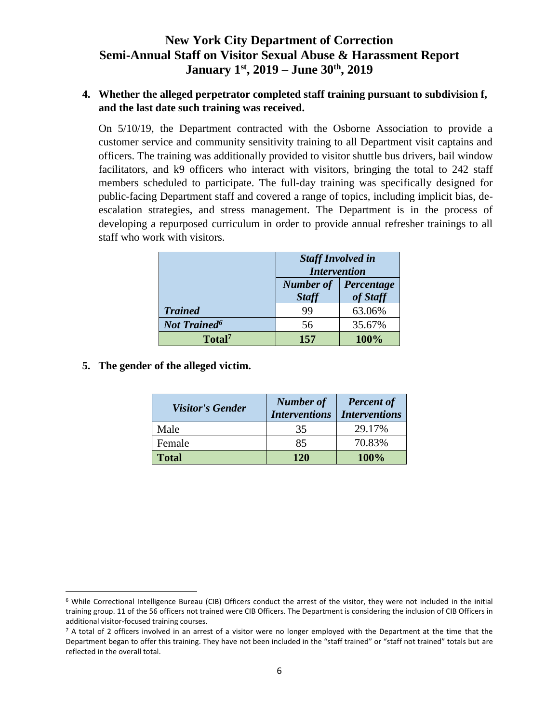#### **4. Whether the alleged perpetrator completed staff training pursuant to subdivision f, and the last date such training was received.**

On 5/10/19, the Department contracted with the Osborne Association to provide a customer service and community sensitivity training to all Department visit captains and officers. The training was additionally provided to visitor shuttle bus drivers, bail window facilitators, and k9 officers who interact with visitors, bringing the total to 242 staff members scheduled to participate. The full-day training was specifically designed for public-facing Department staff and covered a range of topics, including implicit bias, deescalation strategies, and stress management. The Department is in the process of developing a repurposed curriculum in order to provide annual refresher trainings to all staff who work with visitors.

|                                | <b>Staff Involved in</b><br><b>Intervention</b>            |        |  |
|--------------------------------|------------------------------------------------------------|--------|--|
|                                | <b>Number of</b><br>Percentage<br>of Staff<br><b>Staff</b> |        |  |
| <b>Trained</b>                 | 99                                                         | 63.06% |  |
| <b>Not Trained<sup>6</sup></b> | 56                                                         | 35.67% |  |
| Total <sup>7</sup>             | 157                                                        | 100%   |  |

**5. The gender of the alleged victim.** 

 $\overline{\phantom{a}}$ 

| <b>Visitor's Gender</b> | <b>Number of</b><br><b>Interventions</b> | <b>Percent of</b><br><b>Interventions</b> |
|-------------------------|------------------------------------------|-------------------------------------------|
| Male                    | 35                                       | 29.17%                                    |
| Female                  | 85                                       | 70.83%                                    |
| <b>Total</b>            | <b>120</b>                               | 100%                                      |

<sup>6</sup> While Correctional Intelligence Bureau (CIB) Officers conduct the arrest of the visitor, they were not included in the initial training group. 11 of the 56 officers not trained were CIB Officers. The Department is considering the inclusion of CIB Officers in additional visitor-focused training courses.

 $<sup>7</sup>$  A total of 2 officers involved in an arrest of a visitor were no longer employed with the Department at the time that the</sup> Department began to offer this training. They have not been included in the "staff trained" or "staff not trained" totals but are reflected in the overall total.